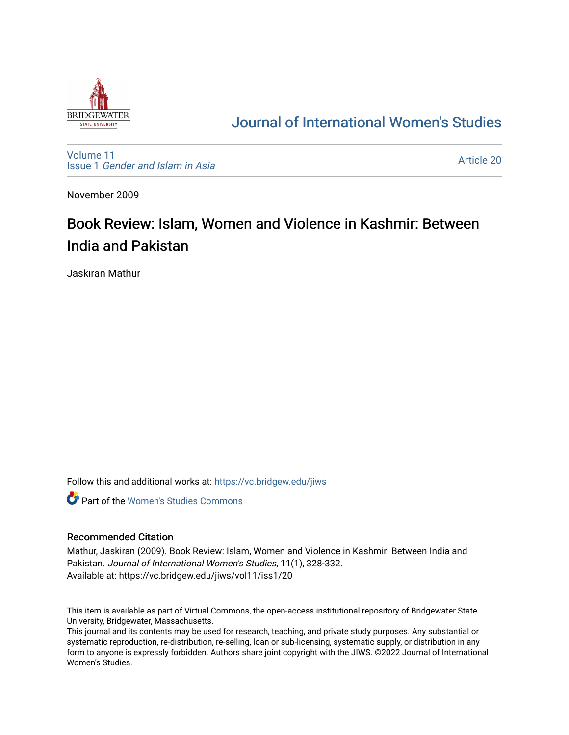

# [Journal of International Women's Studies](https://vc.bridgew.edu/jiws)

[Volume 11](https://vc.bridgew.edu/jiws/vol11) Issue 1 [Gender and Islam in Asia](https://vc.bridgew.edu/jiws/vol11/iss1)

[Article 20](https://vc.bridgew.edu/jiws/vol11/iss1/20) 

November 2009

# Book Review: Islam, Women and Violence in Kashmir: Between India and Pakistan

Jaskiran Mathur

Follow this and additional works at: [https://vc.bridgew.edu/jiws](https://vc.bridgew.edu/jiws?utm_source=vc.bridgew.edu%2Fjiws%2Fvol11%2Fiss1%2F20&utm_medium=PDF&utm_campaign=PDFCoverPages)

**C** Part of the Women's Studies Commons

#### Recommended Citation

Mathur, Jaskiran (2009). Book Review: Islam, Women and Violence in Kashmir: Between India and Pakistan. Journal of International Women's Studies, 11(1), 328-332. Available at: https://vc.bridgew.edu/jiws/vol11/iss1/20

This item is available as part of Virtual Commons, the open-access institutional repository of Bridgewater State University, Bridgewater, Massachusetts.

This journal and its contents may be used for research, teaching, and private study purposes. Any substantial or systematic reproduction, re-distribution, re-selling, loan or sub-licensing, systematic supply, or distribution in any form to anyone is expressly forbidden. Authors share joint copyright with the JIWS. ©2022 Journal of International Women's Studies.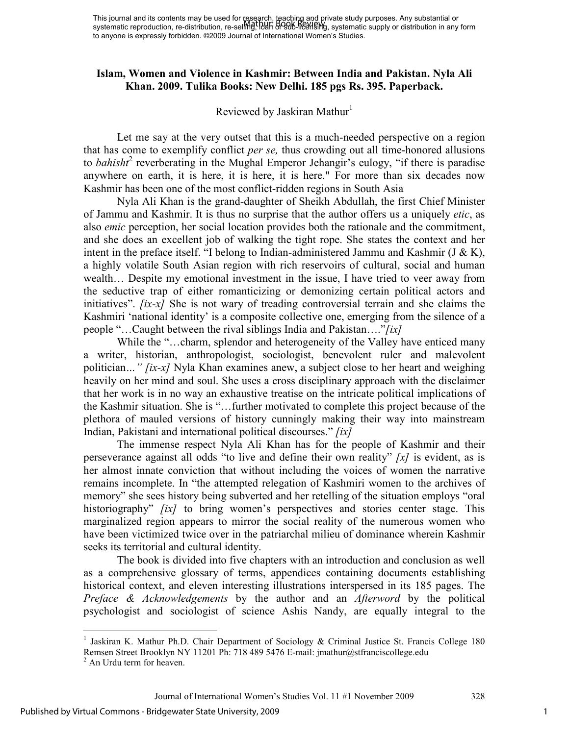## **Islam, Women and Violence in Kashmir: Between India and Pakistan. Nyla Ali Khan. 2009. Tulika Books: New Delhi. 185 pgs Rs. 395. Paperback.**

### Reviewed by Jaskiran Mathur<sup>1</sup>

Let me say at the very outset that this is a much-needed perspective on a region that has come to exemplify conflict *per se,* thus crowding out all time-honored allusions to *bahisht*<sup>2</sup> reverberating in the Mughal Emperor Jehangir's eulogy, "if there is paradise anywhere on earth, it is here, it is here, it is here." For more than six decades now Kashmir has been one of the most conflict-ridden regions in South Asia

Nyla Ali Khan is the grand-daughter of Sheikh Abdullah, the first Chief Minister of Jammu and Kashmir. It is thus no surprise that the author offers us a uniquely *etic*, as also *emic* perception, her social location provides both the rationale and the commitment, and she does an excellent job of walking the tight rope. She states the context and her intent in the preface itself. "I belong to Indian-administered Jammu and Kashmir (J & K), a highly volatile South Asian region with rich reservoirs of cultural, social and human wealth… Despite my emotional investment in the issue, I have tried to veer away from the seductive trap of either romanticizing or demonizing certain political actors and initiatives". *[ix-x]* She is not wary of treading controversial terrain and she claims the Kashmiri 'national identity' is a composite collective one, emerging from the silence of a people "…Caught between the rival siblings India and Pakistan…."*[ix]* 

While the "...charm, splendor and heterogeneity of the Valley have enticed many a writer, historian, anthropologist, sociologist, benevolent ruler and malevolent politician*…" [ix-x]* Nyla Khan examines anew, a subject close to her heart and weighing heavily on her mind and soul. She uses a cross disciplinary approach with the disclaimer that her work is in no way an exhaustive treatise on the intricate political implications of the Kashmir situation. She is "…further motivated to complete this project because of the plethora of mauled versions of history cunningly making their way into mainstream Indian, Pakistani and international political discourses." *[ix]*

The immense respect Nyla Ali Khan has for the people of Kashmir and their perseverance against all odds "to live and define their own reality" *[x]* is evident, as is her almost innate conviction that without including the voices of women the narrative remains incomplete. In "the attempted relegation of Kashmiri women to the archives of memory" she sees history being subverted and her retelling of the situation employs "oral historiography" *[ix]* to bring women's perspectives and stories center stage. This marginalized region appears to mirror the social reality of the numerous women who have been victimized twice over in the patriarchal milieu of dominance wherein Kashmir seeks its territorial and cultural identity.

The book is divided into five chapters with an introduction and conclusion as well as a comprehensive glossary of terms, appendices containing documents establishing historical context, and eleven interesting illustrations interspersed in its 185 pages. The *Preface & Acknowledgements* by the author and an *Afterword* by the political psychologist and sociologist of science Ashis Nandy, are equally integral to the

<sup>&</sup>lt;u>.</u> <sup>1</sup> Jaskiran K. Mathur Ph.D. Chair Department of Sociology & Criminal Justice St. Francis College 180 Remsen Street Brooklyn NY 11201 Ph: 718 489 5476 E-mail: jmathur@stfranciscollege.edu <sup>2</sup> An Urdu term for heaven.

Journal of International Women's Studies Vol. 11 #1 November 2009 328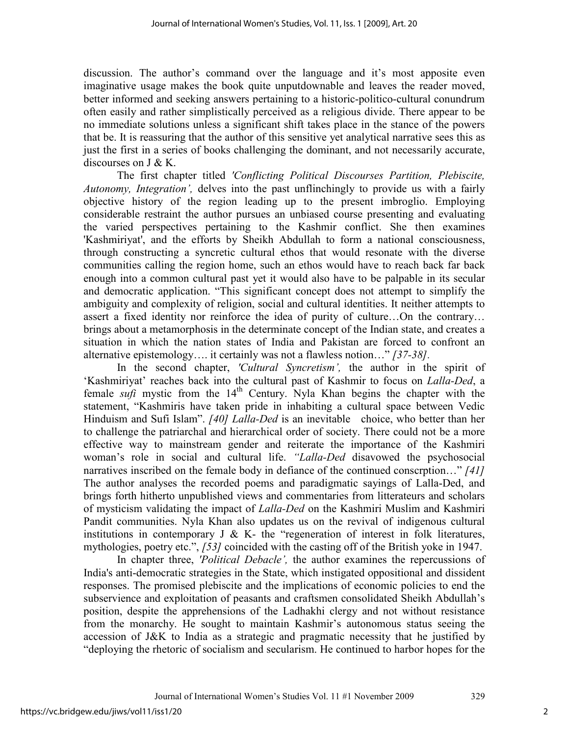discussion. The author's command over the language and it's most apposite even imaginative usage makes the book quite unputdownable and leaves the reader moved, better informed and seeking answers pertaining to a historic-politico-cultural conundrum often easily and rather simplistically perceived as a religious divide. There appear to be no immediate solutions unless a significant shift takes place in the stance of the powers that be. It is reassuring that the author of this sensitive yet analytical narrative sees this as just the first in a series of books challenging the dominant, and not necessarily accurate, discourses on J & K.

The first chapter titled *'Conflicting Political Discourses Partition, Plebiscite, Autonomy, Integration',* delves into the past unflinchingly to provide us with a fairly objective history of the region leading up to the present imbroglio. Employing considerable restraint the author pursues an unbiased course presenting and evaluating the varied perspectives pertaining to the Kashmir conflict. She then examines 'Kashmiriyat', and the efforts by Sheikh Abdullah to form a national consciousness, through constructing a syncretic cultural ethos that would resonate with the diverse communities calling the region home, such an ethos would have to reach back far back enough into a common cultural past yet it would also have to be palpable in its secular and democratic application. "This significant concept does not attempt to simplify the ambiguity and complexity of religion, social and cultural identities. It neither attempts to assert a fixed identity nor reinforce the idea of purity of culture…On the contrary… brings about a metamorphosis in the determinate concept of the Indian state, and creates a situation in which the nation states of India and Pakistan are forced to confront an alternative epistemology…. it certainly was not a flawless notion…" *[37-38].* 

In the second chapter, *'Cultural Syncretism',* the author in the spirit of 'Kashmiriyat' reaches back into the cultural past of Kashmir to focus on *Lalla-Ded*, a female *sufi* mystic from the  $14<sup>th</sup>$  Century. Nyla Khan begins the chapter with the statement, "Kashmiris have taken pride in inhabiting a cultural space between Vedic Hinduism and Sufi Islam". *[40] Lalla-Ded* is an inevitable choice, who better than her to challenge the patriarchal and hierarchical order of society. There could not be a more effective way to mainstream gender and reiterate the importance of the Kashmiri woman's role in social and cultural life. *"Lalla-Ded* disavowed the psychosocial narratives inscribed on the female body in defiance of the continued conscrption…" *[41]* The author analyses the recorded poems and paradigmatic sayings of Lalla-Ded, and brings forth hitherto unpublished views and commentaries from litterateurs and scholars of mysticism validating the impact of *Lalla-Ded* on the Kashmiri Muslim and Kashmiri Pandit communities. Nyla Khan also updates us on the revival of indigenous cultural institutions in contemporary  $J \& K$ - the "regeneration of interest in folk literatures, mythologies, poetry etc.", *[53]* coincided with the casting off of the British yoke in 1947.

In chapter three, *'Political Debacle',* the author examines the repercussions of India's anti-democratic strategies in the State, which instigated oppositional and dissident responses. The promised plebiscite and the implications of economic policies to end the subservience and exploitation of peasants and craftsmen consolidated Sheikh Abdullah's position, despite the apprehensions of the Ladhakhi clergy and not without resistance from the monarchy. He sought to maintain Kashmir's autonomous status seeing the accession of J&K to India as a strategic and pragmatic necessity that he justified by "deploying the rhetoric of socialism and secularism. He continued to harbor hopes for the

2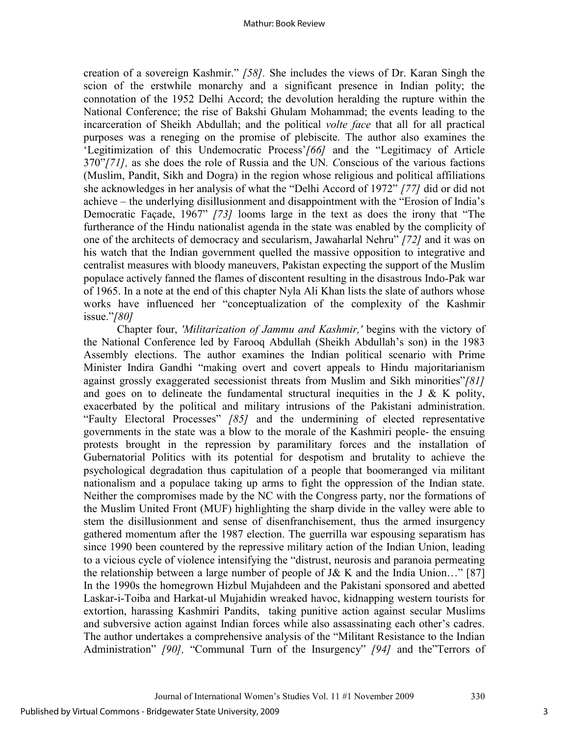creation of a sovereign Kashmir." *[58].* She includes the views of Dr. Karan Singh the scion of the erstwhile monarchy and a significant presence in Indian polity; the connotation of the 1952 Delhi Accord; the devolution heralding the rupture within the National Conference; the rise of Bakshi Ghulam Mohammad; the events leading to the incarceration of Sheikh Abdullah; and the political *volte face* that all for all practical purposes was a reneging on the promise of plebiscite. The author also examines the 'Legitimization of this Undemocratic Process'*[66]* and the "Legitimacy of Article 370"*[71],* as she does the role of Russia and the UN*. C*onscious of the various factions (Muslim, Pandit, Sikh and Dogra) in the region whose religious and political affiliations she acknowledges in her analysis of what the "Delhi Accord of 1972" *[77]* did or did not achieve – the underlying disillusionment and disappointment with the "Erosion of India's Democratic Façade, 1967" *[73]* looms large in the text as does the irony that "The furtherance of the Hindu nationalist agenda in the state was enabled by the complicity of one of the architects of democracy and secularism, Jawaharlal Nehru" *[72]* and it was on his watch that the Indian government quelled the massive opposition to integrative and centralist measures with bloody maneuvers, Pakistan expecting the support of the Muslim populace actively fanned the flames of discontent resulting in the disastrous Indo-Pak war of 1965. In a note at the end of this chapter Nyla Ali Khan lists the slate of authors whose works have influenced her "conceptualization of the complexity of the Kashmir issue."*[80]* 

 Chapter four, *'Militarization of Jammu and Kashmir,'* begins with the victory of the National Conference led by Farooq Abdullah (Sheikh Abdullah's son) in the 1983 Assembly elections. The author examines the Indian political scenario with Prime Minister Indira Gandhi "making overt and covert appeals to Hindu majoritarianism against grossly exaggerated secessionist threats from Muslim and Sikh minorities"*[81]* and goes on to delineate the fundamental structural inequities in the J  $\&$  K polity, exacerbated by the political and military intrusions of the Pakistani administration. "Faulty Electoral Processes" *[85]* and the undermining of elected representative governments in the state was a blow to the morale of the Kashmiri people- the ensuing protests brought in the repression by paramilitary forces and the installation of Gubernatorial Politics with its potential for despotism and brutality to achieve the psychological degradation thus capitulation of a people that boomeranged via militant nationalism and a populace taking up arms to fight the oppression of the Indian state. Neither the compromises made by the NC with the Congress party, nor the formations of the Muslim United Front (MUF) highlighting the sharp divide in the valley were able to stem the disillusionment and sense of disenfranchisement, thus the armed insurgency gathered momentum after the 1987 election. The guerrilla war espousing separatism has since 1990 been countered by the repressive military action of the Indian Union, leading to a vicious cycle of violence intensifying the "distrust, neurosis and paranoia permeating the relationship between a large number of people of J& K and the India Union..." [87] In the 1990s the homegrown Hizbul Mujahdeen and the Pakistani sponsored and abetted Laskar-i-Toiba and Harkat-ul Mujahidin wreaked havoc, kidnapping western tourists for extortion, harassing Kashmiri Pandits, taking punitive action against secular Muslims and subversive action against Indian forces while also assassinating each other's cadres. The author undertakes a comprehensive analysis of the "Militant Resistance to the Indian Administration" *[90],* "Communal Turn of the Insurgency" *[94]* and the"Terrors of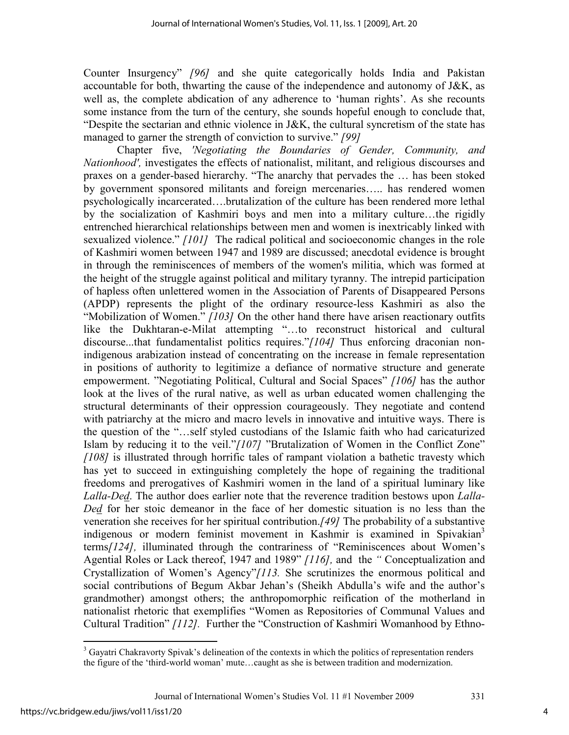Counter Insurgency" *[96]* and she quite categorically holds India and Pakistan accountable for both, thwarting the cause of the independence and autonomy of J&K, as well as, the complete abdication of any adherence to 'human rights'. As she recounts some instance from the turn of the century, she sounds hopeful enough to conclude that, "Despite the sectarian and ethnic violence in J&K, the cultural syncretism of the state has managed to garner the strength of conviction to survive." *[99]*

Chapter five, *'Negotiating the Boundaries of Gender, Community, and Nationhood',* investigates the effects of nationalist, militant, and religious discourses and praxes on a gender-based hierarchy. "The anarchy that pervades the … has been stoked by government sponsored militants and foreign mercenaries….. has rendered women psychologically incarcerated….brutalization of the culture has been rendered more lethal by the socialization of Kashmiri boys and men into a military culture…the rigidly entrenched hierarchical relationships between men and women is inextricably linked with sexualized violence." *[101]* The radical political and socioeconomic changes in the role of Kashmiri women between 1947 and 1989 are discussed; anecdotal evidence is brought in through the reminiscences of members of the women's militia, which was formed at the height of the struggle against political and military tyranny. The intrepid participation of hapless often unlettered women in the Association of Parents of Disappeared Persons (APDP) represents the plight of the ordinary resource-less Kashmiri as also the "Mobilization of Women." *[103]* On the other hand there have arisen reactionary outfits like the Dukhtaran-e-Milat attempting "…to reconstruct historical and cultural discourse...that fundamentalist politics requires."*[104]* Thus enforcing draconian nonindigenous arabization instead of concentrating on the increase in female representation in positions of authority to legitimize a defiance of normative structure and generate empowerment. "Negotiating Political, Cultural and Social Spaces" *[106]* has the author look at the lives of the rural native, as well as urban educated women challenging the structural determinants of their oppression courageously. They negotiate and contend with patriarchy at the micro and macro levels in innovative and intuitive ways. There is the question of the "…self styled custodians of the Islamic faith who had caricaturized Islam by reducing it to the veil."*[107]* "Brutalization of Women in the Conflict Zone" *[108]* is illustrated through horrific tales of rampant violation a bathetic travesty which has yet to succeed in extinguishing completely the hope of regaining the traditional freedoms and prerogatives of Kashmiri women in the land of a spiritual luminary like *Lalla-Ded*. The author does earlier note that the reverence tradition bestows upon *Lalla-Ded* for her stoic demeanor in the face of her domestic situation is no less than the veneration she receives for her spiritual contribution.*[49]* The probability of a substantive indigenous or modern feminist movement in Kashmir is examined in Spivakian<sup>3</sup> terms*[124],* illuminated through the contrariness of "Reminiscences about Women's Agential Roles or Lack thereof, 1947 and 1989" *[116],* and the *"* Conceptualization and Crystallization of Women's Agency"*[113.* She scrutinizes the enormous political and social contributions of Begum Akbar Jehan's (Sheikh Abdulla's wife and the author's grandmother) amongst others; the anthropomorphic reification of the motherland in nationalist rhetoric that exemplifies "Women as Repositories of Communal Values and Cultural Tradition" *[112].* Further the "Construction of Kashmiri Womanhood by Ethno-

<sup>&</sup>lt;sup>3</sup> Gayatri Chakravorty Spivak's delineation of the contexts in which the politics of representation renders the figure of the 'third-world woman' mute…caught as she is between tradition and modernization.